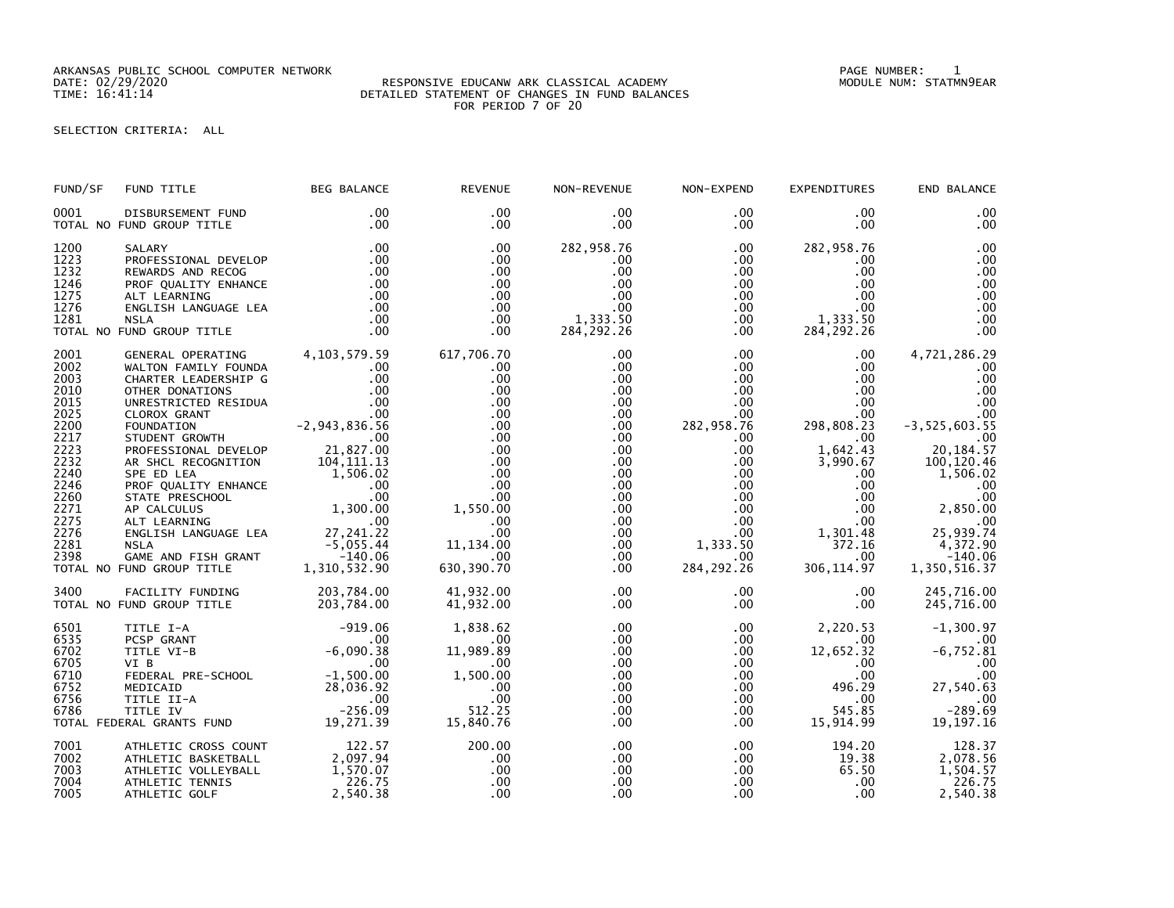ARKANSAS PUBLIC SCHOOL COMPUTER NETWORK PAGE NUMBER: 1

## DATE: 02/29/2020 RESPONSIVE EDUCANW ARK CLASSICAL ACADEMY MODULE NUM: STATMN9EAR TIME: 16:41:14 DETAILED STATEMENT OF CHANGES IN FUND BALANCES FOR PERIOD 7 OF 20

## SELECTION CRITERIA: ALL

| FUND/SF                                                                                                                                      | FUND TITLE                                                                                                                                                                                                                                                                                                                                                                                     | <b>BEG BALANCE</b>                                                                                                                                                                                                                                          | <b>REVENUE</b>                                                                                                                                              | NON-REVENUE                                                                                                                                                           | NON-EXPEND                                                                                                                                                                                                                | <b>EXPENDITURES</b>                                                                                                                                                                                                                   | END BALANCE                                                                                                                                                                                                |
|----------------------------------------------------------------------------------------------------------------------------------------------|------------------------------------------------------------------------------------------------------------------------------------------------------------------------------------------------------------------------------------------------------------------------------------------------------------------------------------------------------------------------------------------------|-------------------------------------------------------------------------------------------------------------------------------------------------------------------------------------------------------------------------------------------------------------|-------------------------------------------------------------------------------------------------------------------------------------------------------------|-----------------------------------------------------------------------------------------------------------------------------------------------------------------------|---------------------------------------------------------------------------------------------------------------------------------------------------------------------------------------------------------------------------|---------------------------------------------------------------------------------------------------------------------------------------------------------------------------------------------------------------------------------------|------------------------------------------------------------------------------------------------------------------------------------------------------------------------------------------------------------|
| 0001                                                                                                                                         | DISBURSEMENT FUND<br>TOTAL NO FUND GROUP TITLE                                                                                                                                                                                                                                                                                                                                                 | .00<br>.00                                                                                                                                                                                                                                                  | .00<br>$.00 \times$                                                                                                                                         | $.00 \,$<br>$.00 \,$                                                                                                                                                  | $.00 \,$<br>$.00 \,$                                                                                                                                                                                                      | $.00 \,$<br>$.00 \,$                                                                                                                                                                                                                  | .00<br>.00                                                                                                                                                                                                 |
| 1200<br>1223<br>1232<br>1246<br>1275<br>1276<br>1281                                                                                         | SALARY<br>PROFESSIONAL DEVELOP<br>REWARDS AND RECOG<br>PROF QUALITY ENHANCE<br>ALT LEARNING<br>ENGLISH LANGUAGE LEA<br><b>NSLA</b><br>TOTAL NO FUND GROUP TITLE                                                                                                                                                                                                                                | .00<br>.00<br>.00<br>.00<br>.00<br>.00<br>.00<br>.00                                                                                                                                                                                                        | .00<br>.00<br>.00<br>.00<br>.00.<br>.00<br>.00<br>.00                                                                                                       | 282,958.76<br>$.00 \,$<br>.00<br>.00<br>.00<br>.00<br>1,333.50<br>284, 292. 26                                                                                        | $.00 \,$<br>$.00 \,$<br>$.00 \,$<br>.00 <sub>1</sub><br>$.00\,$<br>.00<br>$.00 \,$<br>.00                                                                                                                                 | 282,958.76<br>$.00 \,$<br>$.00 \,$<br>$.00 \,$<br>$.00 \,$<br>$.00 \,$<br>1,333.50<br>284, 292. 26                                                                                                                                    | .00<br>.00<br>.00<br>.00<br>.00<br>.00<br>.00<br>.00                                                                                                                                                       |
| 2001<br>2002<br>2003<br>2010<br>2015<br>2025<br>2200<br>2217<br>2223<br>2232<br>2240<br>2246<br>2260<br>2271<br>2275<br>2276<br>2281<br>2398 | GENERAL OPERATING<br>WALTON FAMILY FOUNDA<br>CHARTER LEADERSHIP G<br>OTHER DONATIONS<br>UNRESTRICTED RESIDUA<br>CLOROX GRANT<br>FOUNDATION<br>STUDENT GROWTH<br>PROFESSIONAL DEVELOP<br>AR SHCL RECOGNITION<br>SPE ED LEA<br>PROF QUALITY ENHANCE<br>STATE PRESCHOOL<br>AP CALCULUS<br>ALT LEARNING<br>ENGLISH LANGUAGE LEA<br><b>NSLA</b><br>GAME AND FISH GRANT<br>TOTAL NO FUND GROUP TITLE | 4,103,579.59<br>.00<br>.00<br>.00<br>.00<br>.00<br>2, 943, 836. 56 -<br>00.<br>$\sim$ 00<br>21,827.00<br>$104, 111.13$<br>$1,506.02$<br>$\sim$ 00<br>.00.<br>00.<br>1,300.00<br>3E LF <sup>A</sup><br>27,241.22<br>-5.055.44<br>$-5,055.44$<br>1,310,532.90 | 617,706.70<br>.00<br>.00<br>.00<br>.00<br>.00<br>.00<br>.00<br>.00<br>.00<br>.00<br>.00<br>.00<br>1,550.00<br>.00<br>.00<br>11, 134.00<br>.00<br>630,390.70 | .00<br>$.00 \,$<br>.00<br>.00<br>.00.<br>.00<br>.00<br>.00<br>.00<br>.00<br>$.00 \,$<br>.00<br>$.00 \,$<br>$.00 \,$<br>$.00 \,$<br>$.00 \,$<br>.00<br>$.00 \,$<br>.00 | $.00 \,$<br>$.00 \,$<br>$.00\,$<br>$.00\,$<br>$.00 \,$<br>$.00\,$<br>282,958.76<br>$.00 \,$<br>$.00 \,$<br>$.00 \,$<br>.00<br>$.00\,$<br>$.00\,$<br>$.00\,$<br>$.00\,$<br>$.00\,$<br>1,333.50<br>$.00 \,$<br>284, 292. 26 | $.00 \,$<br>$.00 \,$<br>$.00 \,$<br>$.00 \,$<br>$.00 \,$<br>.00<br>298,808.23<br>$.00 \,$<br>1,642.43<br>3,990.67<br>$.00 \,$<br>$.00 \,$<br>$.00 \,$<br>$.00 \,$<br>.00 <sub>1</sub><br>1,301.48<br>372.16<br>$.00 \,$<br>306,114.97 | 4,721,286.29<br>.00<br>.00<br>.00<br>.00<br>.00<br>$-3,525,603.55$<br>.00<br>20, 184. 57<br>100,120.46<br>1,506.02<br>.00<br>.00<br>2,850.00<br>00.<br>74. 25, 25<br>4,372.90<br>$-140.06$<br>1,350,516.37 |
| 3400                                                                                                                                         | FACILITY FUNDING<br>TOTAL NO FUND GROUP TITLE                                                                                                                                                                                                                                                                                                                                                  | 203,784.00<br>203,784.00                                                                                                                                                                                                                                    | 41,932.00<br>41,932.00                                                                                                                                      | .00<br>$.00 \,$                                                                                                                                                       | $.00 \,$<br>$.00 \,$                                                                                                                                                                                                      | $.00 \,$<br>$.00 \,$                                                                                                                                                                                                                  | 245,716.00<br>245,716.00                                                                                                                                                                                   |
| 6501<br>6535<br>6702<br>6705<br>6710<br>6752<br>6756<br>6786                                                                                 | TITLE I-A<br>PCSP GRANT<br>TITLE VI-B<br>VI B<br>TOTAL FEDERAL GRANTS FUND                                                                                                                                                                                                                                                                                                                     | $-919.06$<br>$-6,090.38$<br>$\sim$ 00<br>19,271.39                                                                                                                                                                                                          | 1,838.62<br>.00.<br>11,989.89<br>.00<br>1,500.00<br>.00<br>.00<br>512.25<br>15,840.76                                                                       | $.00 \,$<br>.00<br>.00<br>$.00 \,$<br>.00<br>.00<br>.00<br>.00<br>.00                                                                                                 | $.00 \,$<br>.00<br>$.00 \,$<br>$.00 \,$<br>$.00 \,$<br>$.00 \,$<br>$.00\,$<br>$.00 \,$<br>.00                                                                                                                             | 2,220.53<br>.00<br>12,652.32<br>$.00 \,$<br>$.00 \ \,$<br>496.29<br>$.00 \,$<br>545.85<br>15,914.99                                                                                                                                   | $-1,300.97$<br>.00<br>$-6,752.81$<br>.00<br>.00<br>27,540.63<br>00.<br>69.69–<br>19, 197. 16                                                                                                               |
| 7001<br>7002<br>7003<br>7004<br>7005                                                                                                         | ATHLETIC CROSS COUNT<br>ATHLETIC BASKETBALL<br>ATHLETIC VOLLEYBALL<br>ATHLETIC TENNIS<br>ATHLETIC GOLF                                                                                                                                                                                                                                                                                         | 122.57<br>2,097.94<br>1,570.07<br>226.75<br>2,540.38                                                                                                                                                                                                        | 200.00<br>.00<br>.00<br>.00<br>.00                                                                                                                          | .00<br>.00<br>.00<br>.00<br>.00                                                                                                                                       | $.00 \,$<br>$.00\,$<br>$.00\,$<br>$.00 \,$<br>$.00 \,$                                                                                                                                                                    | 194.20<br>19.38<br>65.50<br>$.00 \,$<br>.00 <sub>1</sub>                                                                                                                                                                              | 128.37<br>2,078.56<br>1,504.57<br>226.75<br>2,540.38                                                                                                                                                       |